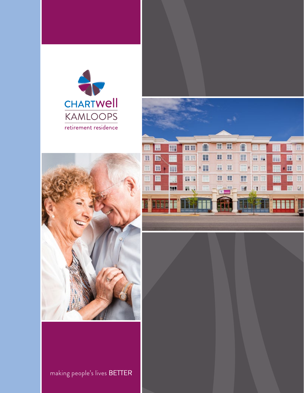





making people's lives BETTER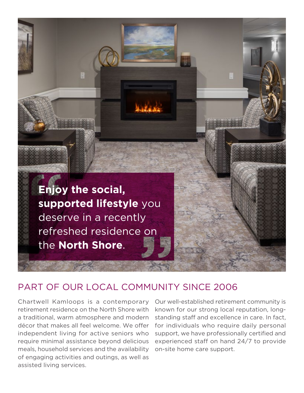

### PART OF OUR LOCAL COMMUNITY SINCE 2006

Chartwell Kamloops is a contemporary retirement residence on the North Shore with a traditional, warm atmosphere and modern décor that makes all feel welcome. We offer independent living for active seniors who require minimal assistance beyond delicious meals, household services and the availability of engaging activities and outings, as well as assisted living services.

Our well-established retirement community is known for our strong local reputation, longstanding staff and excellence in care. In fact, for individuals who require daily personal support, we have professionally certified and experienced staff on hand 24/7 to provide on-site home care support.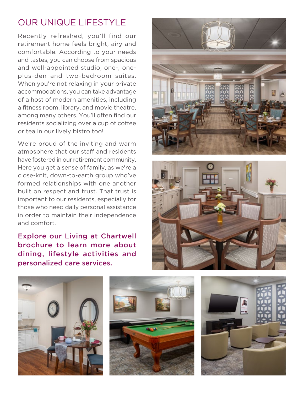## OUR UNIQUE LIFESTYLE

Recently refreshed, you'll find our retirement home feels bright, airy and comfortable. According to your needs and tastes, you can choose from spacious and well-appointed studio, one-, oneplus-den and two-bedroom suites. When you're not relaxing in your private accommodations, you can take advantage of a host of modern amenities, including a fitness room, library, and movie theatre, among many others. You'll often find our residents socializing over a cup of coffee or tea in our lively bistro too!

We're proud of the inviting and warm atmosphere that our staff and residents have fostered in our retirement community. Here you get a sense of family, as we're a close-knit, down-to-earth group who've formed relationships with one another built on respect and trust. That trust is important to our residents, especially for those who need daily personal assistance in order to maintain their independence and comfort.

Explore our Living at Chartwell brochure to learn more about dining, lifestyle activities and personalized care services.









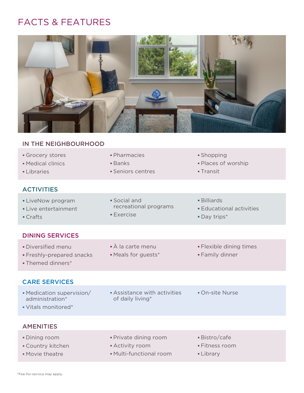# FACTS & FEATURES



#### IN THE NEIGHBOURHOOD

| Grocery stores<br>• Medical clinics<br>Libraries                     | • Pharmacies<br>■ Banks<br>• Seniors centres                          | • Shopping<br>• Places of worship<br>$\blacksquare$ Transit               |
|----------------------------------------------------------------------|-----------------------------------------------------------------------|---------------------------------------------------------------------------|
| <b>ACTIVITIES</b>                                                    |                                                                       |                                                                           |
| • LiveNow program<br>• Live entertainment<br>• Crafts                | $\blacksquare$ Social and<br>recreational programs<br><b>Exercise</b> | $\blacksquare$ Billiards<br><b>Educational activities</b><br>• Day trips* |
| <b>DINING SERVICES</b>                                               |                                                                       |                                                                           |
| · Diversified menu<br>• Freshly-prepared snacks<br>• Themed dinners* | • À la carte menu<br>• Meals for guests*                              | • Flexible dining times<br>• Family dinner                                |
| <b>CARE SERVICES</b>                                                 |                                                                       |                                                                           |
| • Medication supervision/<br>administration*                         | • Assistance with activities<br>of daily living*                      | • On-site Nurse                                                           |

Vitals monitored\*

#### **AMENITIES**

• Dining room **• Private dining room** • Bistro/cafe • Country kitchen **Activity room** • Activity room **Fitness room** • Movie theatre **Multi-functional room Library**